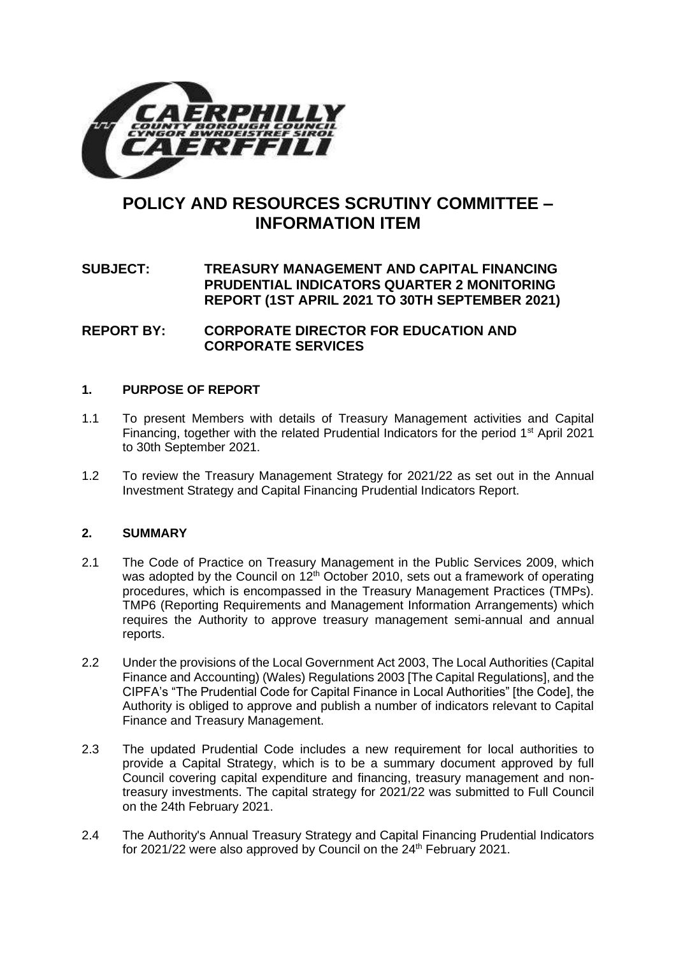

# **POLICY AND RESOURCES SCRUTINY COMMITTEE – INFORMATION ITEM**

# **SUBJECT: TREASURY MANAGEMENT AND CAPITAL FINANCING PRUDENTIAL INDICATORS QUARTER 2 MONITORING REPORT (1ST APRIL 2021 TO 30TH SEPTEMBER 2021)**

# **REPORT BY: CORPORATE DIRECTOR FOR EDUCATION AND CORPORATE SERVICES**

# **1. PURPOSE OF REPORT**

- 1.1 To present Members with details of Treasury Management activities and Capital Financing, together with the related Prudential Indicators for the period  $1<sup>st</sup>$  April 2021 to 30th September 2021.
- 1.2 To review the Treasury Management Strategy for 2021/22 as set out in the Annual Investment Strategy and Capital Financing Prudential Indicators Report.

# **2. SUMMARY**

- 2.1 The Code of Practice on Treasury Management in the Public Services 2009, which was adopted by the Council on  $12<sup>th</sup>$  October 2010, sets out a framework of operating procedures, which is encompassed in the Treasury Management Practices (TMPs). TMP6 (Reporting Requirements and Management Information Arrangements) which requires the Authority to approve treasury management semi-annual and annual reports.
- 2.2 Under the provisions of the Local Government Act 2003, The Local Authorities (Capital Finance and Accounting) (Wales) Regulations 2003 [The Capital Regulations], and the CIPFA's "The Prudential Code for Capital Finance in Local Authorities" [the Code], the Authority is obliged to approve and publish a number of indicators relevant to Capital Finance and Treasury Management.
- 2.3 The updated Prudential Code includes a new requirement for local authorities to provide a Capital Strategy, which is to be a summary document approved by full Council covering capital expenditure and financing, treasury management and nontreasury investments. The capital strategy for 2021/22 was submitted to Full Council on the 24th February 2021.
- 2.4 The Authority's Annual Treasury Strategy and Capital Financing Prudential Indicators for 2021/22 were also approved by Council on the 24<sup>th</sup> February 2021.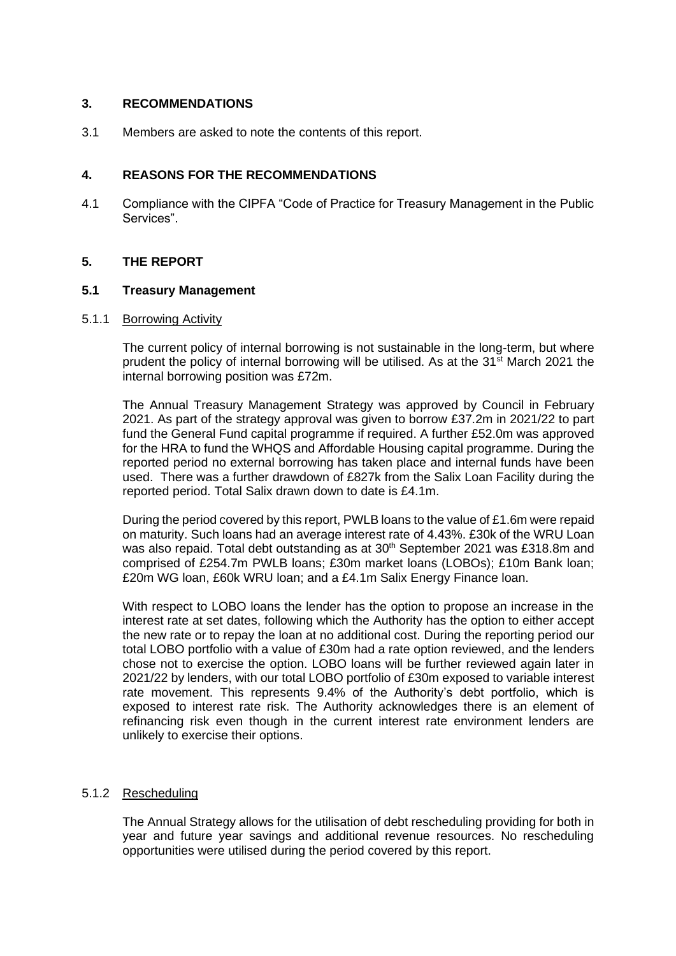# **3. RECOMMENDATIONS**

3.1 Members are asked to note the contents of this report.

## **4. REASONS FOR THE RECOMMENDATIONS**

4.1 Compliance with the CIPFA "Code of Practice for Treasury Management in the Public Services".

#### **5. THE REPORT**

#### **5.1 Treasury Management**

#### 5.1.1 Borrowing Activity

The current policy of internal borrowing is not sustainable in the long-term, but where prudent the policy of internal borrowing will be utilised. As at the 31<sup>st</sup> March 2021 the internal borrowing position was £72m.

The Annual Treasury Management Strategy was approved by Council in February 2021. As part of the strategy approval was given to borrow £37.2m in 2021/22 to part fund the General Fund capital programme if required. A further £52.0m was approved for the HRA to fund the WHQS and Affordable Housing capital programme. During the reported period no external borrowing has taken place and internal funds have been used. There was a further drawdown of £827k from the Salix Loan Facility during the reported period. Total Salix drawn down to date is £4.1m.

During the period covered by this report, PWLB loans to the value of £1.6m were repaid on maturity. Such loans had an average interest rate of 4.43%. £30k of the WRU Loan was also repaid. Total debt outstanding as at 30<sup>th</sup> September 2021 was £318.8m and comprised of £254.7m PWLB loans; £30m market loans (LOBOs); £10m Bank loan; £20m WG loan, £60k WRU loan; and a £4.1m Salix Energy Finance loan.

With respect to LOBO loans the lender has the option to propose an increase in the interest rate at set dates, following which the Authority has the option to either accept the new rate or to repay the loan at no additional cost. During the reporting period our total LOBO portfolio with a value of £30m had a rate option reviewed, and the lenders chose not to exercise the option. LOBO loans will be further reviewed again later in 2021/22 by lenders, with our total LOBO portfolio of £30m exposed to variable interest rate movement. This represents 9.4% of the Authority's debt portfolio, which is exposed to interest rate risk. The Authority acknowledges there is an element of refinancing risk even though in the current interest rate environment lenders are unlikely to exercise their options.

#### 5.1.2 Rescheduling

The Annual Strategy allows for the utilisation of debt rescheduling providing for both in year and future year savings and additional revenue resources. No rescheduling opportunities were utilised during the period covered by this report.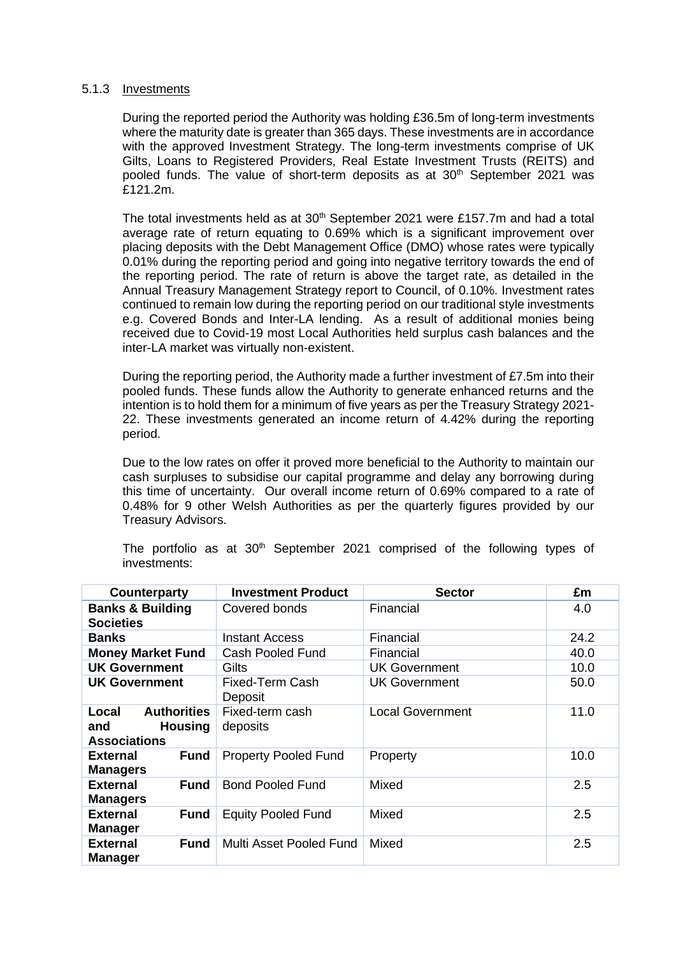#### 5.1.3 Investments

During the reported period the Authority was holding £36.5m of long-term investments where the maturity date is greater than 365 days. These investments are in accordance with the approved Investment Strategy. The long-term investments comprise of UK Gilts, Loans to Registered Providers, Real Estate Investment Trusts (REITS) and pooled funds. The value of short-term deposits as at  $30<sup>th</sup>$  September 2021 was £121.2m.

The total investments held as at  $30<sup>th</sup>$  September 2021 were £157.7m and had a total average rate of return equating to 0.69% which is a significant improvement over placing deposits with the Debt Management Office (DMO) whose rates were typically 0.01% during the reporting period and going into negative territory towards the end of the reporting period. The rate of return is above the target rate, as detailed in the Annual Treasury Management Strategy report to Council, of 0.10%. Investment rates continued to remain low during the reporting period on our traditional style investments e.g. Covered Bonds and Inter-LA lending. As a result of additional monies being received due to Covid-19 most Local Authorities held surplus cash balances and the inter-LA market was virtually non-existent.

During the reporting period, the Authority made a further investment of £7.5m into their pooled funds. These funds allow the Authority to generate enhanced returns and the intention is to hold them for a minimum of five years as per the Treasury Strategy 2021- 22. These investments generated an income return of 4.42% during the reporting period.

Due to the low rates on offer it proved more beneficial to the Authority to maintain our cash surpluses to subsidise our capital programme and delay any borrowing during this time of uncertainty. Our overall income return of 0.69% compared to a rate of 0.48% for 9 other Welsh Authorities as per the quarterly figures provided by our Treasury Advisors.

| Counterparty                                                                | <b>Investment Product</b>   | <b>Sector</b>           | £m   |
|-----------------------------------------------------------------------------|-----------------------------|-------------------------|------|
| <b>Banks &amp; Building</b><br><b>Societies</b>                             | Covered bonds               | Financial               | 4.0  |
| <b>Banks</b>                                                                | <b>Instant Access</b>       | Financial               | 24.2 |
| <b>Money Market Fund</b>                                                    | Cash Pooled Fund            | Financial               | 40.0 |
| <b>UK Government</b>                                                        | Gilts                       | <b>UK Government</b>    | 10.0 |
| <b>UK Government</b>                                                        | Fixed-Term Cash<br>Deposit  | <b>UK Government</b>    | 50.0 |
| <b>Authorities</b><br>Local<br><b>Housing</b><br>and<br><b>Associations</b> | Fixed-term cash<br>deposits | <b>Local Government</b> | 11.0 |
| <b>Fund</b><br><b>External</b><br><b>Managers</b>                           | <b>Property Pooled Fund</b> | Property                | 10.0 |
| <b>External</b><br><b>Fund</b><br><b>Managers</b>                           | <b>Bond Pooled Fund</b>     | Mixed                   | 2.5  |
| <b>External</b><br><b>Fund</b><br><b>Manager</b>                            | <b>Equity Pooled Fund</b>   | Mixed                   | 2.5  |
| <b>External</b><br><b>Fund</b><br><b>Manager</b>                            | Multi Asset Pooled Fund     | Mixed                   | 2.5  |

The portfolio as at  $30<sup>th</sup>$  September 2021 comprised of the following types of investments: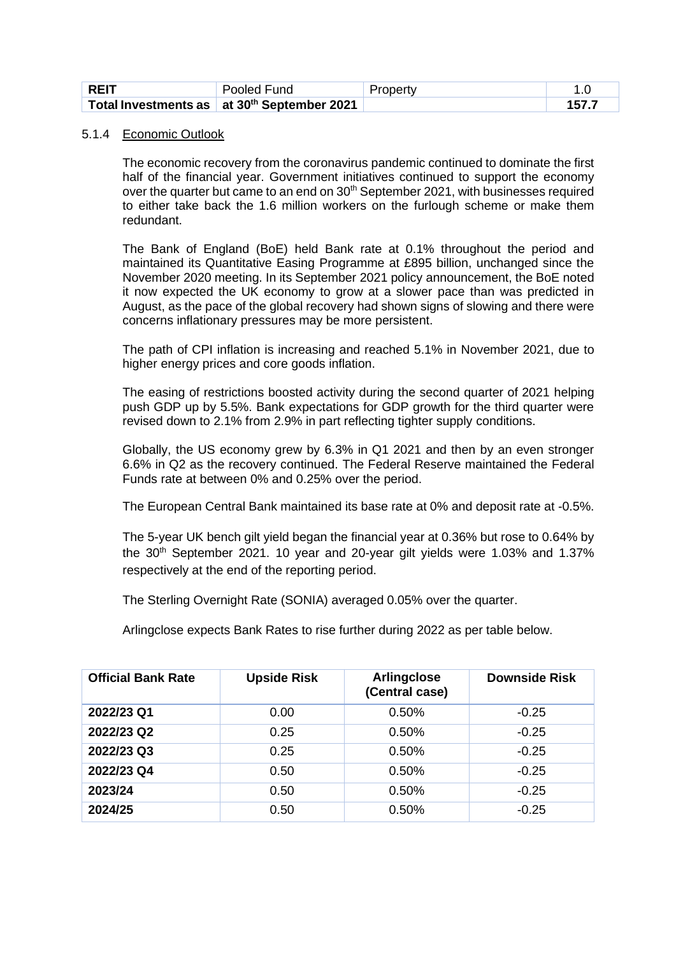| ⊩REIT | Pooled Fund                                             | Property |  |
|-------|---------------------------------------------------------|----------|--|
|       | Total Investments as at 30 <sup>th</sup> September 2021 |          |  |

#### 5.1.4 Economic Outlook

 The economic recovery from the coronavirus pandemic continued to dominate the first half of the financial year. Government initiatives continued to support the economy over the quarter but came to an end on 30<sup>th</sup> September 2021, with businesses required to either take back the 1.6 million workers on the furlough scheme or make them redundant.

The Bank of England (BoE) held Bank rate at 0.1% throughout the period and maintained its Quantitative Easing Programme at £895 billion, unchanged since the November 2020 meeting. In its September 2021 policy announcement, the BoE noted it now expected the UK economy to grow at a slower pace than was predicted in August, as the pace of the global recovery had shown signs of slowing and there were concerns inflationary pressures may be more persistent.

The path of CPI inflation is increasing and reached 5.1% in November 2021, due to higher energy prices and core goods inflation.

The easing of restrictions boosted activity during the second quarter of 2021 helping push GDP up by 5.5%. Bank expectations for GDP growth for the third quarter were revised down to 2.1% from 2.9% in part reflecting tighter supply conditions.

Globally, the US economy grew by 6.3% in Q1 2021 and then by an even stronger 6.6% in Q2 as the recovery continued. The Federal Reserve maintained the Federal Funds rate at between 0% and 0.25% over the period.

The European Central Bank maintained its base rate at 0% and deposit rate at -0.5%.

The 5-year UK bench gilt yield began the financial year at 0.36% but rose to 0.64% by the 30<sup>th</sup> September 2021. 10 year and 20-year gilt yields were 1.03% and 1.37% respectively at the end of the reporting period.

The Sterling Overnight Rate (SONIA) averaged 0.05% over the quarter.

Arlingclose expects Bank Rates to rise further during 2022 as per table below.

| <b>Official Bank Rate</b> | <b>Upside Risk</b> | Arlingclose<br>(Central case) | <b>Downside Risk</b> |
|---------------------------|--------------------|-------------------------------|----------------------|
| 2022/23 Q1                | 0.00               | 0.50%                         | $-0.25$              |
| 2022/23 Q2                | 0.25               | 0.50%                         | $-0.25$              |
| 2022/23 Q3                | 0.25               | 0.50%                         | $-0.25$              |
| 2022/23 Q4                | 0.50               | 0.50%                         | $-0.25$              |
| 2023/24                   | 0.50               | 0.50%                         | $-0.25$              |
| 2024/25                   | 0.50               | 0.50%                         | $-0.25$              |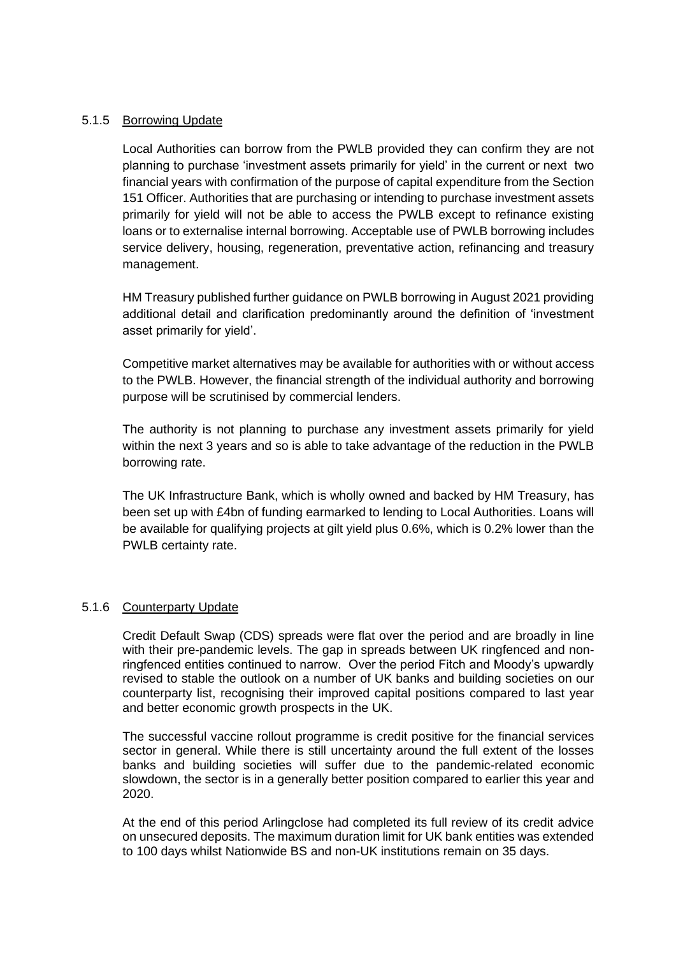# 5.1.5 Borrowing Update

Local Authorities can borrow from the PWLB provided they can confirm they are not planning to purchase 'investment assets primarily for yield' in the current or next two financial years with confirmation of the purpose of capital expenditure from the Section 151 Officer. Authorities that are purchasing or intending to purchase investment assets primarily for yield will not be able to access the PWLB except to refinance existing loans or to externalise internal borrowing. Acceptable use of PWLB borrowing includes service delivery, housing, regeneration, preventative action, refinancing and treasury management.

HM Treasury published further guidance on PWLB borrowing in August 2021 providing additional detail and clarification predominantly around the definition of 'investment asset primarily for yield'.

Competitive market alternatives may be available for authorities with or without access to the PWLB. However, the financial strength of the individual authority and borrowing purpose will be scrutinised by commercial lenders.

The authority is not planning to purchase any investment assets primarily for yield within the next 3 years and so is able to take advantage of the reduction in the PWLB borrowing rate.

The UK Infrastructure Bank, which is wholly owned and backed by HM Treasury, has been set up with £4bn of funding earmarked to lending to Local Authorities. Loans will be available for qualifying projects at gilt yield plus 0.6%, which is 0.2% lower than the PWLB certainty rate.

# 5.1.6 Counterparty Update

Credit Default Swap (CDS) spreads were flat over the period and are broadly in line with their pre-pandemic levels. The gap in spreads between UK ringfenced and nonringfenced entities continued to narrow. Over the period Fitch and Moody's upwardly revised to stable the outlook on a number of UK banks and building societies on our counterparty list, recognising their improved capital positions compared to last year and better economic growth prospects in the UK.

The successful vaccine rollout programme is credit positive for the financial services sector in general. While there is still uncertainty around the full extent of the losses banks and building societies will suffer due to the pandemic-related economic slowdown, the sector is in a generally better position compared to earlier this year and 2020.

At the end of this period Arlingclose had completed its full review of its credit advice on unsecured deposits. The maximum duration limit for UK bank entities was extended to 100 days whilst Nationwide BS and non-UK institutions remain on 35 days.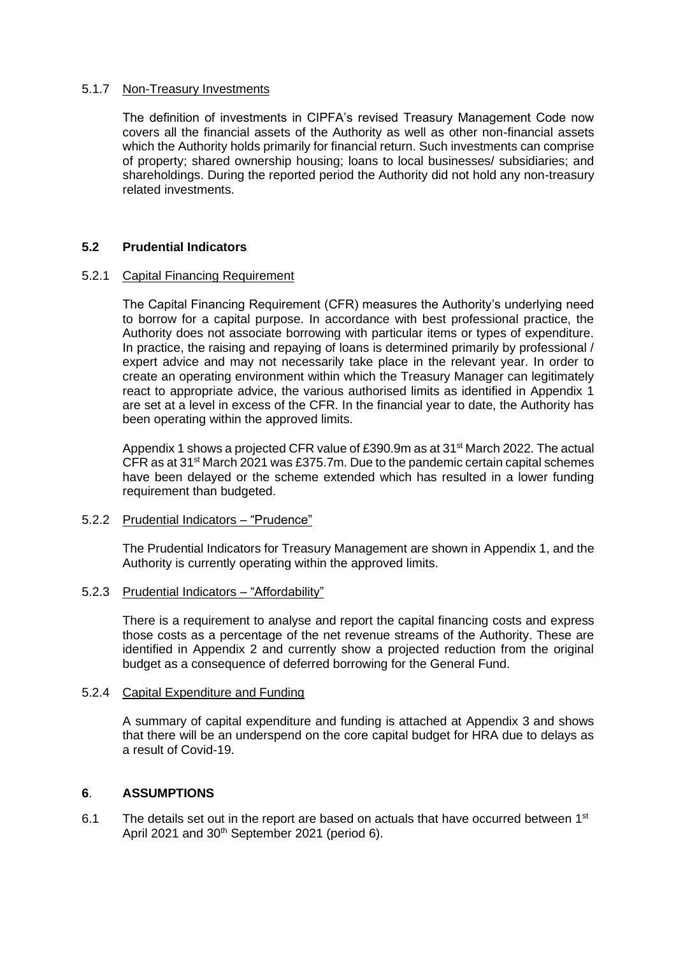#### 5.1.7 Non-Treasury Investments

The definition of investments in CIPFA's revised Treasury Management Code now covers all the financial assets of the Authority as well as other non-financial assets which the Authority holds primarily for financial return. Such investments can comprise of property; shared ownership housing; loans to local businesses/ subsidiaries; and shareholdings. During the reported period the Authority did not hold any non-treasury related investments.

# **5.2 Prudential Indicators**

#### 5.2.1 Capital Financing Requirement

The Capital Financing Requirement (CFR) measures the Authority's underlying need to borrow for a capital purpose. In accordance with best professional practice, the Authority does not associate borrowing with particular items or types of expenditure. In practice, the raising and repaying of loans is determined primarily by professional / expert advice and may not necessarily take place in the relevant year. In order to create an operating environment within which the Treasury Manager can legitimately react to appropriate advice, the various authorised limits as identified in Appendix 1 are set at a level in excess of the CFR. In the financial year to date, the Authority has been operating within the approved limits.

Appendix 1 shows a projected CFR value of £390.9m as at 31<sup>st</sup> March 2022. The actual CFR as at 31st March 2021 was £375.7m. Due to the pandemic certain capital schemes have been delayed or the scheme extended which has resulted in a lower funding requirement than budgeted.

# 5.2.2 Prudential Indicators – "Prudence"

The Prudential Indicators for Treasury Management are shown in Appendix 1, and the Authority is currently operating within the approved limits.

# 5.2.3 Prudential Indicators – "Affordability"

There is a requirement to analyse and report the capital financing costs and express those costs as a percentage of the net revenue streams of the Authority. These are identified in Appendix 2 and currently show a projected reduction from the original budget as a consequence of deferred borrowing for the General Fund.

#### 5.2.4 Capital Expenditure and Funding

A summary of capital expenditure and funding is attached at Appendix 3 and shows that there will be an underspend on the core capital budget for HRA due to delays as a result of Covid-19.

# **6**. **ASSUMPTIONS**

6.1 The details set out in the report are based on actuals that have occurred between  $1<sup>st</sup>$ April 2021 and 30<sup>th</sup> September 2021 (period 6).